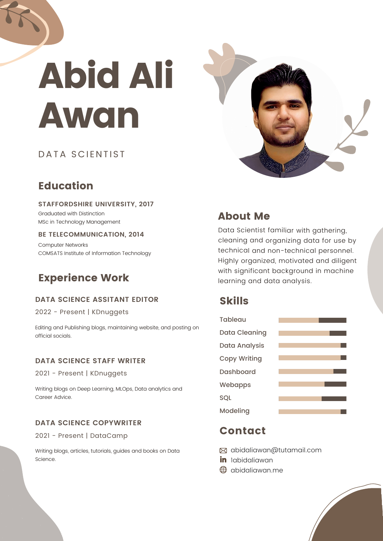# Abid Ali Awan

# DATA SCIENTIST

# **Education**

#### **STAFFORDSHIRE UNIVERSITY, 2017**

Graduated with Distinction MSc in Technology Management

## **BE TELECOMMUNICATION, 2014**

Computer Networks COMSATS Institute of Information Technology

# Experience Work

## **DATA SCIENCE ASSITANT EDITOR**

2022 - Present | KDnuggets

Editing and Publishing blogs, maintaining website, and posting on official socials.

## **DATA SCIENCE STAFF WRITER**

2021 - Present | KDnuggets

Writing blogs on Deep Learning, MLOps, Data analytics and Career Advice.

## **DATA SCIENCE COPYWRITER**

2021 - Present | DataCamp

Writing blogs, articles, tutorials, guides and books on Data Science.



# About Me

Data Scientist familiar with gathering, cleaning and organizing data for use by technical and non-technical personnel. Highly organized, motivated and diligent with significant background in machine learning and data analysis.

# Skills



## Contact

abidaliawan@tutamail.com

- in labidaliawan
- abidaliawan.me